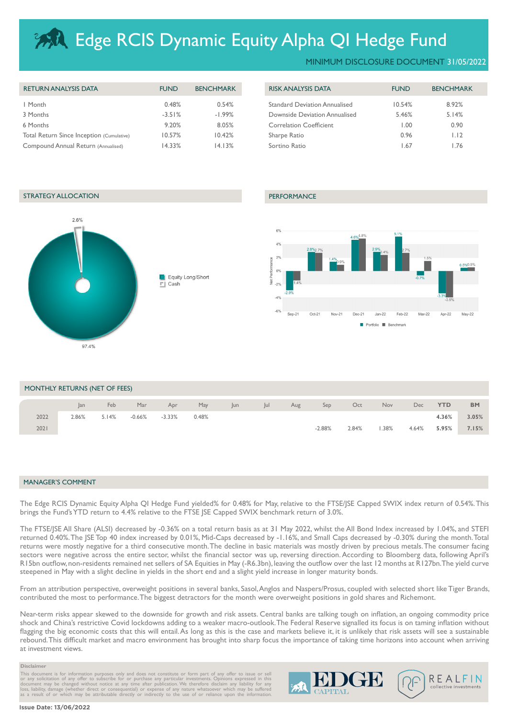# **Edge RCIS Dynamic Equity Alpha QI Hedge Fund**

| <b>RETURN ANALYSIS DATA</b>               | <b>FUND</b> | <b>BENCHMARK</b> | <b>RISK ANALYSIS DATA</b>            | <b>FUND</b> | <b>BENCHMARK</b> |
|-------------------------------------------|-------------|------------------|--------------------------------------|-------------|------------------|
| I Month                                   | 0.48%       | 0.54%            | <b>Standard Deviation Annualised</b> | 10.54%      | 8.92%            |
| 3 Months                                  | $-3.51%$    | $-1.99%$         | Downside Deviation Annualised        | 5.46%       | 5.14%            |
| 6 Months                                  | 9.20%       | 8.05%            | <b>Correlation Coefficient</b>       | 00.1        | 0.90             |
| Total Return Since Inception (Cumulative) | 10.57%      | 10.42%           | Sharpe Ratio                         | 0.96        | 1.12             |
| Compound Annual Return (Annualised)       | 14.33%      | 14.13%           | Sortino Ratio                        | . . 67      | l.76             |

| <b>FUND</b> | <b>BENCHMARK</b> |
|-------------|------------------|
| 10.54%      | 8.92%            |
| 5.46%       | 5.14%            |
| 1.00        | 0.90             |
| 0.96        | 1.12             |
| 1.67        | 1.76             |
|             |                  |

# STRATEGY ALLOCATION **PERFORMANCE**





| MONTHLY RETURNS (NET OF FEES) |       |       |          |          |       |     |     |     |          |       |      |       |            |           |
|-------------------------------|-------|-------|----------|----------|-------|-----|-----|-----|----------|-------|------|-------|------------|-----------|
|                               | an    | Feb   | Mar      | Apr      | May   | Jun | lul | Aug | Sep      | Oct   | Nov  | Dec   | <b>YTD</b> | <b>BM</b> |
| 2022                          | 2.86% | 5.14% | $-0.66%$ | $-3.33%$ | 0.48% |     |     |     |          |       |      |       | 4.36%      | 3.05%     |
| 2021                          |       |       |          |          |       |     |     |     | $-2.88%$ | 2.84% | .38% | 4.64% | 5.95%      | 7.15%     |

## MANAGER'S COMMENT

The Edge RCIS Dynamic Equity Alpha QI Hedge Fund yielded% for 0.48% for May, relative to the FTSE/JSE Capped SWIX index return of 0.54%. This brings the Fund's YTD return to 4.4% relative to the FTSE JSE Capped SWIX benchmark return of 3.0%.

The FTSE/JSE All Share (ALSI) decreased by -0.36% on a total return basis as at 31 May 2022, whilst the All Bond Index increased by 1.04%, and STEFI returned 0.40%. The JSE Top 40 index increased by 0.01%, Mid-Caps decreased by -1.16%, and Small Caps decreased by -0.30% during the month. Total returns were mostly negative for a third consecutive month. The decline in basic materials was mostly driven by precious metals. The consumer facing sectors were negative across the entire sector, whilst the financial sector was up, reversing direction. According to Bloomberg data, following April's R15bn outflow, non-residents remained net sellers of SA Equities in May (-R6.3bn), leaving the outflow over the last 12 months at R127bn. The yield curve steepened in May with a slight decline in yields in the short end and a slight yield increase in longer maturity bonds.

From an attribution perspective, overweight positions in several banks, Sasol, Anglos and Naspers/Prosus, coupled with selected short like Tiger Brands, contributed the most to performance. The biggest detractors for the month were overweight positions in gold shares and Richemont.

Near-term risks appear skewed to the downside for growth and risk assets. Central banks are talking tough on inflation, an ongoing commodity price shock and China's restrictive Covid lockdowns adding to a weaker macro-outlook. The Federal Reserve signalled its focus is on taming inflation without flagging the big economic costs that this will entail. As long as this is the case and markets believe it, it is unlikely that risk assets will see a sustainable rebound. This difficult market and macro environment has brought into sharp focus the importance of taking time horizons into account when arriving at investment views.

## **Disclaimer**

This document is for information purposes only and does not constitute or form part of any offer to issue or sell<br>or any solicitation of any offer to subscribe for or purchase any particular investments. Opinions expressed

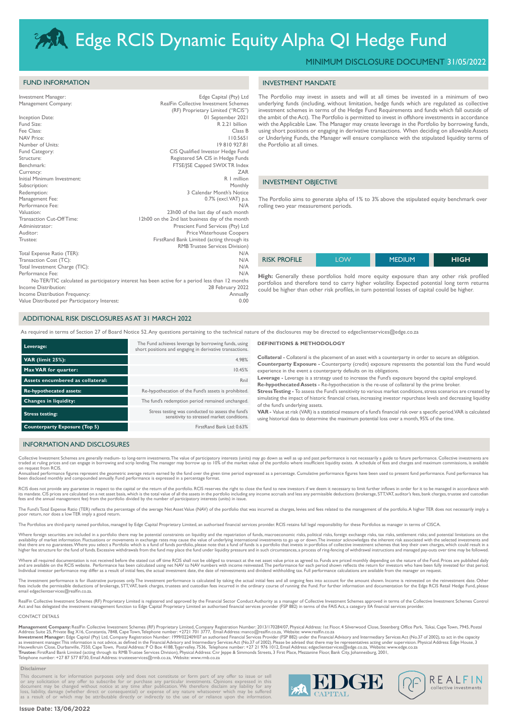# **Edge RCIS Dynamic Equity Alpha QI Hedge Fund**

# MINIMUM DISCLOSURE DOCUMENT 31/05/2022

# FUND INFORMATION

| Investment Manager:                           | Edge Capital (Pty) Ltd                                                                           |
|-----------------------------------------------|--------------------------------------------------------------------------------------------------|
| Management Company:                           | RealFin Collective Investment Schemes                                                            |
|                                               | (RF) Proprietary Limited ("RCIS")                                                                |
| Inception Date:                               | 01 September 2021                                                                                |
| Fund Size:                                    | R 2.21 billion                                                                                   |
| Fee Class:                                    | Class B                                                                                          |
| <b>NAV Price:</b>                             | 110.5651                                                                                         |
| Number of Units:                              | 19810927.81                                                                                      |
| Fund Category:                                | CIS Qualified Investor Hedge Fund                                                                |
| Structure:                                    | Registered SA CIS in Hedge Funds                                                                 |
| Benchmark:                                    | FTSE/ISE Capped SWIX TR Index                                                                    |
| Currency:                                     | <b>ZAR</b>                                                                                       |
| Initial Minimum Investment:                   | R   million                                                                                      |
| Subscription:                                 | Monthly                                                                                          |
| Redemption:                                   | 3 Calendar Month's Notice                                                                        |
| Management Fee:                               | 0.7% (excl.VAT) p.a.                                                                             |
| Performance Fee:                              | N/A                                                                                              |
| Valuation:                                    | 23h00 of the last day of each month                                                              |
| Transaction Cut-Off Time:                     | 12h00 on the 2nd last business day of the month                                                  |
| Administrator:                                | Prescient Fund Services (Pty) Ltd                                                                |
| Auditor:                                      | <b>Price Waterhouse Coopers</b>                                                                  |
| Trustee:                                      | FirstRand Bank Limited (acting through its                                                       |
|                                               | <b>RMB Trustee Services Division)</b>                                                            |
| Total Expense Ratio (TER):                    | N/A                                                                                              |
| Transaction Cost (TC):                        | N/A                                                                                              |
| Total Investment Charge (TIC):                | N/A                                                                                              |
| Performance Fee:                              | N/A                                                                                              |
|                                               | No TER/TIC calculated as participatory interest has been active for a period less than 12 months |
| Income Distribution:                          | 28 February 2022                                                                                 |
| Income Distribution Frequency:                | Annually                                                                                         |
| Value Distributed per Participatory Interest: | 0.00                                                                                             |

## The Portfolio may invest in assets and will at all times be invested in a minimum of two underlying funds (including, without limitation, hedge funds which are regulated as collective investment schemes in terms of the Hedge Fund Requirements and funds which fall outside of the ambit of the Act). The Portfolio is permitted to invest in offshore investments in accordance with the Applicable Law. The Manager may create leverage in the Portfolio by borrowing funds, using short positions or engaging in derivative transactions. When deciding on allowable Assets or Underlying Funds, the Manager will ensure compliance with the stipulated liquidity terms of the Portfolio at all times.

## INVESTMENT OBJECTIVE

INVESTMENT MANDATE

The Portfolio aims to generate alpha of 1% to 3% above the stipulated equity benchmark over rolling two year measurement periods.

| <b>RISK PROFILE</b> | . OW | <b>MEDIUM</b> | <b>HIGH</b> |
|---------------------|------|---------------|-------------|
|                     |      |               |             |

High: Generally these portfolios hold more equity exposure than any other risk profiled portfolios and therefore tend to carry higher volatility. Expected potential long term returns could be higher than other risk profiles, in turn potential losses of capital could be higher.

# ADDITIONAL RISK DISCLOSURES AS AT 31 MARCH 2022

As required in terms of Section 27 of Board Notice 52. Any questions pertaining to the technical nature of the disclosures may be directed to edgeclientservices@edge.co.za

| Leverage:                            | The Fund achieves leverage by borrowing funds, using<br>short positions and engaging in derivative transactions. |  |  |
|--------------------------------------|------------------------------------------------------------------------------------------------------------------|--|--|
| <b>VAR (limit 25%):</b>              | 4.98%                                                                                                            |  |  |
| Max VAR for quarter:                 | 10.45%                                                                                                           |  |  |
| Assets encumbered as collateral:     | Rnil                                                                                                             |  |  |
| <b>Re-hypothecated assets:</b>       | Re-hypothecation of the Fund's assets is prohibited.                                                             |  |  |
| <b>Changes in liquidity:</b>         | The fund's redemption period remained unchanged.                                                                 |  |  |
| <b>Stress testing:</b>               | Stress testing was conducted to assess the fund's<br>sensitivity to stressed market conditions.                  |  |  |
| <b>Counterparty Exposure (Top 5)</b> | FirstRand Bank Ltd: 0.63%                                                                                        |  |  |

## **DEFINITIONS & METHODOLOGY**

**Collateral -** Collateral is the placement of an asset with a counterparty in order to secure an obligation. **Counterparty Exposure -** Counterparty (credit) exposure represents the potential loss the Fund would experience in the event a counterparty defaults on its obligations.

**Leverage -** Leverage is a strategy used to increase the Fund's exposure beyond the capital employed. **Re-hypothecated Assets -** Re-hypothecation is the re-use of collateral by the prime broker.

**Stress Testing -** To assess the Fund's sensitivity to various market conditions, stress scenarios are created by simulating the impact of historic financial crises, increasing investor repurchase levels and decreasing liquidity of the fund's underlying assets.

**VAR -** Value at risk (VAR) is a statistical measure of a fund's financial risk over a specific period. VAR is calculated using historical data to determine the maximum potential loss over a month, 95% of the time.

## INFORMATION AND DISCLOSURES

Collective Investment Schemes are generally medium- to long-term investments.The value of participatory interests (units) may go down as well as up and past performance is not necessarily a guide to future performance. Col

RCIS does not provide any guarantee in respect to the capital or the return of the portfolio. RCIS reserves the right to close the fund to new investors if we deem it necessary to limit further inflows in order for it to b its mandate. CIS prices are calculated on a net asset basis, which is the total value of all the assets in the portfolio including any income accruals and less any permissible deductions (brokerage, STT,VAT, auditor's fees

The Fund's Total Expense Ratio (TER) reflects the percentage of the average Net Asset Value (NAV) of the portfolio that was incurred as charges, levies and fees related to the management of the portfolio.A higher TER does

The Portfolios are third-party named portfolios, managed by Edge Capital Proprietary Limited, an authorised financial services provider. RCIS retains full legal responsibility for these Portfolios as manager in terms of CI

Where foreign securities are included in a portfolio there may be potential constraints on liquidity and the repatriation of funds, macroeconomic risks, political risks, foreign exchange risks, sax risks, settlement risks;

Where all required documentation is not received before the stated cut off time RCIS shall not be obliged to transact at the net asset value price as agreed to. Funds are priced monthly depending on the nature of the Fund. and are available on the RCIS website. Performance has been calculated using net NAV to NAV numbers with income reinvested.The performance for each period shown reflects the return for investors who have been fully investe

The investment performance is for illustrative purposes only.The investment performance is calculated by taking the actual initial fees and all ongoing fees into account for the amount shown. Income is reinvested on the re

RealFin Collective Investment Schemes (RF) Proprietary Limited is registered and approved by the Financial Sector Conduct Authority as a manager of Collective Investment Schemes approved in terms of the Collective Investme

### CONTACT DETAILS

Management Company: RealFin Collective Investment Schemes (RF) Proprietary Limited, Company Registration Number: 2013/1701 3777, Email Address: manco@realfin.co.za, Website: www.realfin.co.za<br>Address: Suite 25, Private Bag

### **Disclaimer**

This document is for information purposes only and does not constitute or form part of any offer to issue or sell<br>or any solicitation of any offer to subscribe for or purchase any particular investments. Opinions expressed